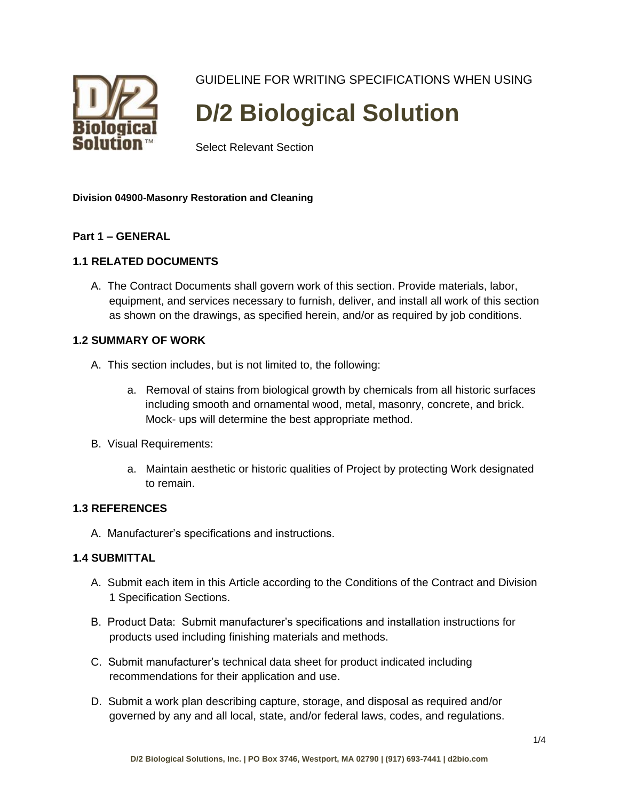

GUIDELINE FOR WRITING SPECIFICATIONS WHEN USING

# **D/2 Biological Solution**

Select Relevant Section

# **Division 04900-Masonry Restoration and Cleaning**

# **Part 1 – GENERAL**

# **1.1 RELATED DOCUMENTS**

A. The Contract Documents shall govern work of this section. Provide materials, labor, equipment, and services necessary to furnish, deliver, and install all work of this section as shown on the drawings, as specified herein, and/or as required by job conditions.

#### **1.2 SUMMARY OF WORK**

- A. This section includes, but is not limited to, the following:
	- a. Removal of stains from biological growth by chemicals from all historic surfaces including smooth and ornamental wood, metal, masonry, concrete, and brick. Mock- ups will determine the best appropriate method.
- B. Visual Requirements:
	- a. Maintain aesthetic or historic qualities of Project by protecting Work designated to remain.

# **1.3 REFERENCES**

A. Manufacturer's specifications and instructions.

# **1.4 SUBMITTAL**

- A. Submit each item in this Article according to the Conditions of the Contract and Division 1 Specification Sections.
- B. Product Data: Submit manufacturer's specifications and installation instructions for products used including finishing materials and methods.
- C. Submit manufacturer's technical data sheet for product indicated including recommendations for their application and use.
- D. Submit a work plan describing capture, storage, and disposal as required and/or governed by any and all local, state, and/or federal laws, codes, and regulations.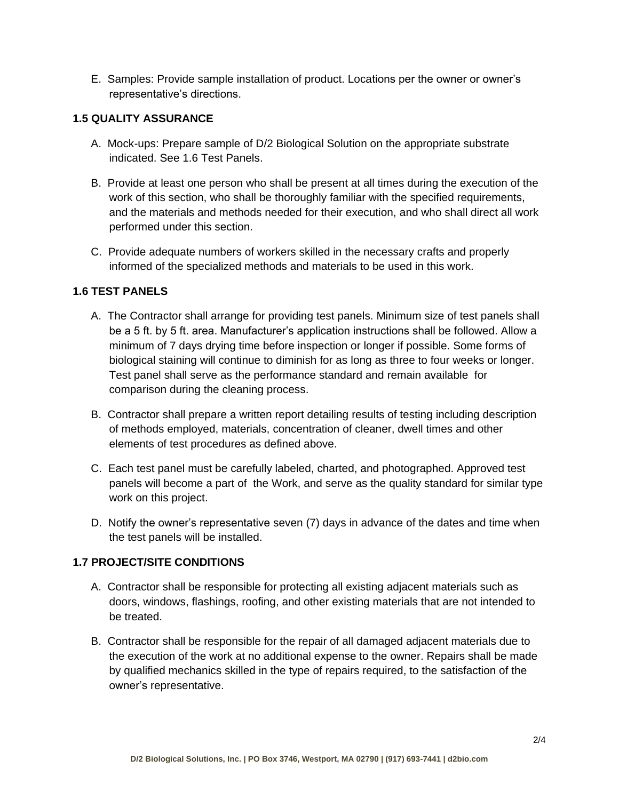E. Samples: Provide sample installation of product. Locations per the owner or owner's representative's directions.

# **1.5 QUALITY ASSURANCE**

- A. Mock-ups: Prepare sample of D/2 Biological Solution on the appropriate substrate indicated. See 1.6 Test Panels.
- B. Provide at least one person who shall be present at all times during the execution of the work of this section, who shall be thoroughly familiar with the specified requirements, and the materials and methods needed for their execution, and who shall direct all work performed under this section.
- C. Provide adequate numbers of workers skilled in the necessary crafts and properly informed of the specialized methods and materials to be used in this work.

# **1.6 TEST PANELS**

- A. The Contractor shall arrange for providing test panels. Minimum size of test panels shall be a 5 ft. by 5 ft. area. Manufacturer's application instructions shall be followed. Allow a minimum of 7 days drying time before inspection or longer if possible. Some forms of biological staining will continue to diminish for as long as three to four weeks or longer. Test panel shall serve as the performance standard and remain available for comparison during the cleaning process.
- B. Contractor shall prepare a written report detailing results of testing including description of methods employed, materials, concentration of cleaner, dwell times and other elements of test procedures as defined above.
- C. Each test panel must be carefully labeled, charted, and photographed. Approved test panels will become a part of the Work, and serve as the quality standard for similar type work on this project.
- D. Notify the owner's representative seven (7) days in advance of the dates and time when the test panels will be installed.

# **1.7 PROJECT/SITE CONDITIONS**

- A. Contractor shall be responsible for protecting all existing adjacent materials such as doors, windows, flashings, roofing, and other existing materials that are not intended to be treated.
- B. Contractor shall be responsible for the repair of all damaged adjacent materials due to the execution of the work at no additional expense to the owner. Repairs shall be made by qualified mechanics skilled in the type of repairs required, to the satisfaction of the owner's representative.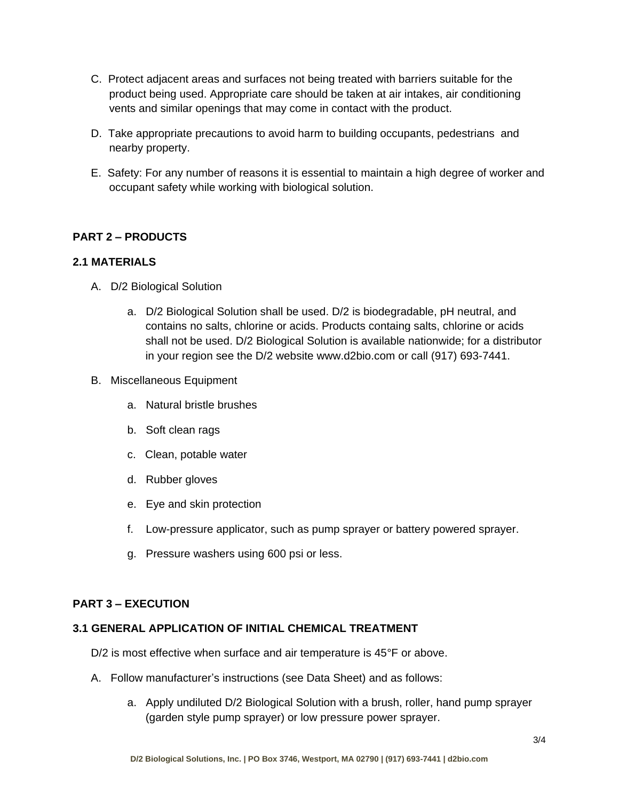- C. Protect adjacent areas and surfaces not being treated with barriers suitable for the product being used. Appropriate care should be taken at air intakes, air conditioning vents and similar openings that may come in contact with the product.
- D. Take appropriate precautions to avoid harm to building occupants, pedestrians and nearby property.
- E. Safety: For any number of reasons it is essential to maintain a high degree of worker and occupant safety while working with biological solution.

# **PART 2 – PRODUCTS**

#### **2.1 MATERIALS**

- A. D/2 Biological Solution
	- a. D/2 Biological Solution shall be used. D/2 is biodegradable, pH neutral, and contains no salts, chlorine or acids. Products containg salts, chlorine or acids shall not be used. D/2 Biological Solution is available nationwide; for a distributor in your region see the D/2 website www.d2bio.com or call (917) 693-7441.
- B. Miscellaneous Equipment
	- a. Natural bristle brushes
	- b. Soft clean rags
	- c. Clean, potable water
	- d. Rubber gloves
	- e. Eye and skin protection
	- f. Low-pressure applicator, such as pump sprayer or battery powered sprayer.
	- g. Pressure washers using 600 psi or less.

# **PART 3 – EXECUTION**

#### **3.1 GENERAL APPLICATION OF INITIAL CHEMICAL TREATMENT**

D/2 is most effective when surface and air temperature is 45°F or above.

- A. Follow manufacturer's instructions (see Data Sheet) and as follows:
	- a. Apply undiluted D/2 Biological Solution with a brush, roller, hand pump sprayer (garden style pump sprayer) or low pressure power sprayer.